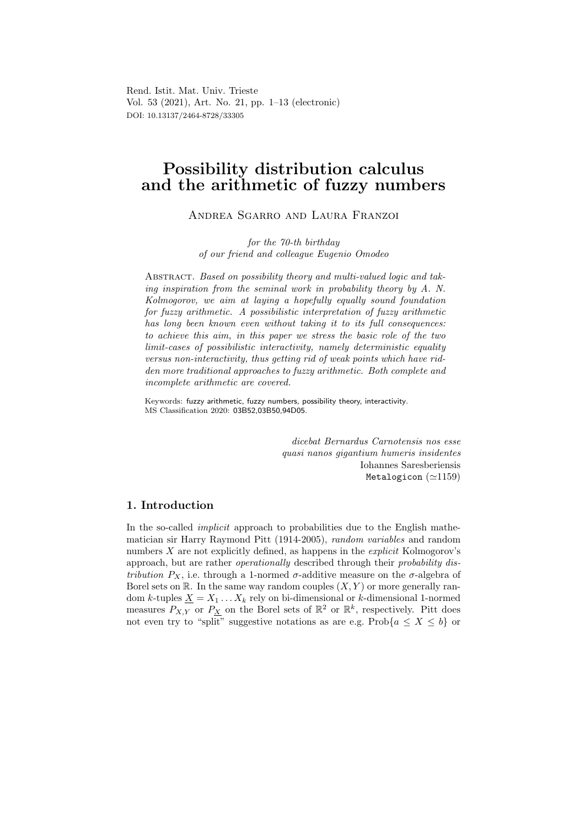Rend. Istit. Mat. Univ. Trieste Vol. 53 (2021), Art. No. 21, pp. 1–13 (electronic) DOI: 10.13137/2464-8728/33305

# Possibility distribution calculus and the arithmetic of fuzzy numbers

Andrea Sgarro and Laura Franzoi

for the 70-th birthday of our friend and colleague Eugenio Omodeo

ABSTRACT. Based on possibility theory and multi-valued logic and taking inspiration from the seminal work in probability theory by A. N. Kolmogorov, we aim at laying a hopefully equally sound foundation for fuzzy arithmetic. A possibilistic interpretation of fuzzy arithmetic has long been known even without taking it to its full consequences: to achieve this aim, in this paper we stress the basic role of the two limit-cases of possibilistic interactivity, namely deterministic equality versus non-interactivity, thus getting rid of weak points which have ridden more traditional approaches to fuzzy arithmetic. Both complete and incomplete arithmetic are covered.

Keywords: fuzzy arithmetic, fuzzy numbers, possibility theory, interactivity. MS Classification 2020: 03B52,03B50,94D05.

> dicebat Bernardus Carnotensis nos esse quasi nanos gigantium humeris insidentes Iohannes Saresberiensis Metalogicon (≃1159)

# 1. Introduction

In the so-called *implicit* approach to probabilities due to the English mathematician sir Harry Raymond Pitt (1914-2005), random variables and random numbers  $X$  are not explicitly defined, as happens in the *explicit* Kolmogorov's approach, but are rather *operationally* described through their *probability dis*tribution  $P_X$ , i.e. through a 1-normed  $\sigma$ -additive measure on the  $\sigma$ -algebra of Borel sets on  $\mathbb R$ . In the same way random couples  $(X, Y)$  or more generally random k-tuples  $\underline{X} = X_1 \dots X_k$  rely on bi-dimensional or k-dimensional 1-normed measures  $P_{X,Y}$  or  $P_X$  on the Borel sets of  $\mathbb{R}^2$  or  $\mathbb{R}^k$ , respectively. Pitt does not even try to "split" suggestive notations as are e.g. Prob $\{a \leq X \leq b\}$  or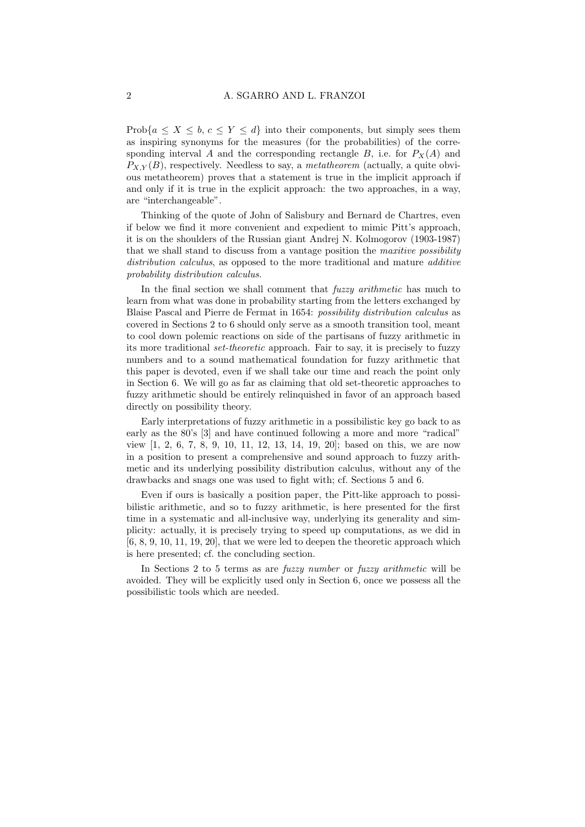Prob{ $a \leq X \leq b, c \leq Y \leq d$ } into their components, but simply sees them as inspiring synonyms for the measures (for the probabilities) of the corresponding interval A and the corresponding rectangle B, i.e. for  $P_X(A)$  and  $P_{X,Y}(B)$ , respectively. Needless to say, a *metatheorem* (actually, a quite obvious metatheorem) proves that a statement is true in the implicit approach if and only if it is true in the explicit approach: the two approaches, in a way, are "interchangeable".

Thinking of the quote of John of Salisbury and Bernard de Chartres, even if below we find it more convenient and expedient to mimic Pitt's approach, it is on the shoulders of the Russian giant Andrej N. Kolmogorov (1903-1987) that we shall stand to discuss from a vantage position the maxitive possibility distribution calculus, as opposed to the more traditional and mature *additive* probability distribution calculus.

In the final section we shall comment that *fuzzy arithmetic* has much to learn from what was done in probability starting from the letters exchanged by Blaise Pascal and Pierre de Fermat in 1654: possibility distribution calculus as covered in Sections 2 to 6 should only serve as a smooth transition tool, meant to cool down polemic reactions on side of the partisans of fuzzy arithmetic in its more traditional set-theoretic approach. Fair to say, it is precisely to fuzzy numbers and to a sound mathematical foundation for fuzzy arithmetic that this paper is devoted, even if we shall take our time and reach the point only in Section 6. We will go as far as claiming that old set-theoretic approaches to fuzzy arithmetic should be entirely relinquished in favor of an approach based directly on possibility theory.

Early interpretations of fuzzy arithmetic in a possibilistic key go back to as early as the 80's [3] and have continued following a more and more "radical" view [1, 2, 6, 7, 8, 9, 10, 11, 12, 13, 14, 19, 20]; based on this, we are now in a position to present a comprehensive and sound approach to fuzzy arithmetic and its underlying possibility distribution calculus, without any of the drawbacks and snags one was used to fight with; cf. Sections 5 and 6.

Even if ours is basically a position paper, the Pitt-like approach to possibilistic arithmetic, and so to fuzzy arithmetic, is here presented for the first time in a systematic and all-inclusive way, underlying its generality and simplicity: actually, it is precisely trying to speed up computations, as we did in  $[6, 8, 9, 10, 11, 19, 20]$ , that we were led to deepen the theoretic approach which is here presented; cf. the concluding section.

In Sections 2 to 5 terms as are fuzzy number or fuzzy arithmetic will be avoided. They will be explicitly used only in Section 6, once we possess all the possibilistic tools which are needed.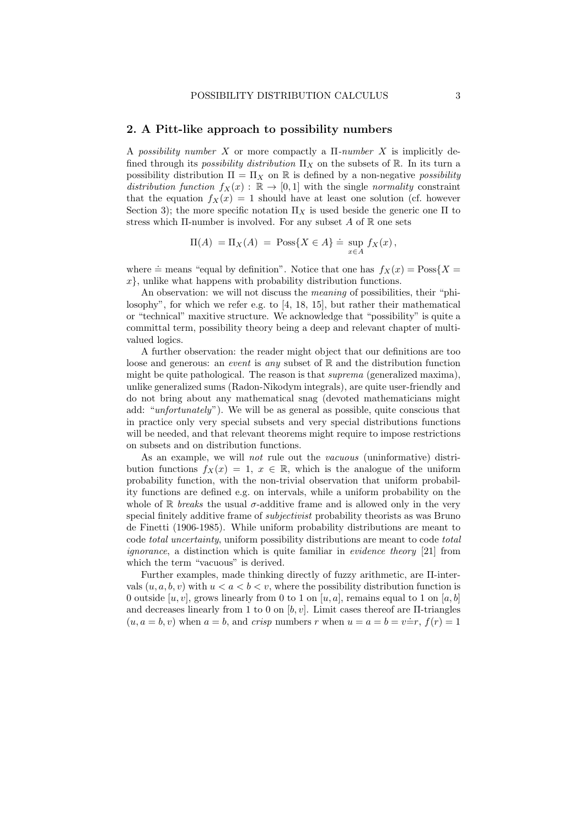#### 2. A Pitt-like approach to possibility numbers

A possibility number X or more compactly a  $\Pi$ -number X is implicitly defined through its *possibility distribution*  $\Pi_X$  on the subsets of R. In its turn a possibility distribution  $\Pi = \Pi_X$  on  $\mathbb R$  is defined by a non-negative possibility distribution function  $f_X(x) : \mathbb{R} \to [0,1]$  with the single normality constraint that the equation  $f_X(x) = 1$  should have at least one solution (cf. however Section 3); the more specific notation  $\Pi_X$  is used beside the generic one  $\Pi$  to stress which Π-number is involved. For any subset A of  $\mathbb R$  one sets

$$
\Pi(A) = \Pi_X(A) = \text{Poss}\{X \in A\} \doteq \sup_{x \in A} f_X(x),
$$

where  $\dot{=}$  means "equal by definition". Notice that one has  $f_X(x) = \text{Poss}\{X =$  $x$ , unlike what happens with probability distribution functions.

An observation: we will not discuss the meaning of possibilities, their "philosophy", for which we refer e.g. to [4, 18, 15], but rather their mathematical or "technical" maxitive structure. We acknowledge that "possibility" is quite a committal term, possibility theory being a deep and relevant chapter of multivalued logics.

A further observation: the reader might object that our definitions are too loose and generous: an *event* is any subset of  $\mathbb{R}$  and the distribution function might be quite pathological. The reason is that suprema (generalized maxima), unlike generalized sums (Radon-Nikodym integrals), are quite user-friendly and do not bring about any mathematical snag (devoted mathematicians might add: "unfortunately"). We will be as general as possible, quite conscious that in practice only very special subsets and very special distributions functions will be needed, and that relevant theorems might require to impose restrictions on subsets and on distribution functions.

As an example, we will not rule out the vacuous (uninformative) distribution functions  $f_X(x) = 1, x \in \mathbb{R}$ , which is the analogue of the uniform probability function, with the non-trivial observation that uniform probability functions are defined e.g. on intervals, while a uniform probability on the whole of R breaks the usual  $\sigma$ -additive frame and is allowed only in the very special finitely additive frame of subjectivist probability theorists as was Bruno de Finetti (1906-1985). While uniform probability distributions are meant to code total uncertainty, uniform possibility distributions are meant to code total ignorance, a distinction which is quite familiar in evidence theory [21] from which the term "vacuous" is derived.

Further examples, made thinking directly of fuzzy arithmetic, are Π-intervals  $(u, a, b, v)$  with  $u < a < b < v$ , where the possibility distribution function is 0 outside [u, v], grows linearly from 0 to 1 on [u, a], remains equal to 1 on [a, b] and decreases linearly from 1 to 0 on  $[b, v]$ . Limit cases thereof are II-triangles  $(u, a = b, v)$  when  $a = b$ , and crisp numbers r when  $u = a = b = v \div r$ ,  $f(r) = 1$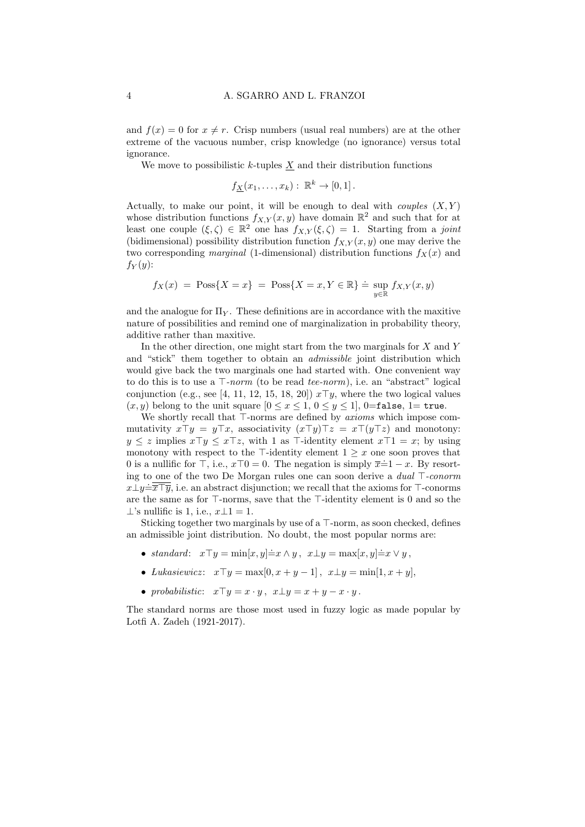and  $f(x) = 0$  for  $x \neq r$ . Crisp numbers (usual real numbers) are at the other extreme of the vacuous number, crisp knowledge (no ignorance) versus total ignorance.

We move to possibilistic  $k$ -tuples  $X$  and their distribution functions

$$
f_{\underline{X}}(x_1,\ldots,x_k): \mathbb{R}^k \to [0,1].
$$

Actually, to make our point, it will be enough to deal with *couples*  $(X, Y)$ whose distribution functions  $f_{X,Y}(x, y)$  have domain  $\mathbb{R}^2$  and such that for at least one couple  $(\xi, \zeta) \in \mathbb{R}^2$  one has  $f_{X,Y}(\xi, \zeta) = 1$ . Starting from a joint (bidimensional) possibility distribution function  $f_{X,Y}(x, y)$  one may derive the two corresponding marginal (1-dimensional) distribution functions  $f_X(x)$  and  $f_Y(y)$ :

$$
f_X(x) = \text{Poss}\{X = x\} = \text{Poss}\{X = x, Y \in \mathbb{R}\} \doteq \sup_{y \in \mathbb{R}} f_{X,Y}(x, y)
$$

and the analogue for  $\Pi_V$ . These definitions are in accordance with the maxitive nature of possibilities and remind one of marginalization in probability theory, additive rather than maxitive.

In the other direction, one might start from the two marginals for X and Y and "stick" them together to obtain an admissible joint distribution which would give back the two marginals one had started with. One convenient way to do this is to use a ⊤-norm (to be read tee-norm), i.e. an "abstract" logical conjunction (e.g., see [4, 11, 12, 15, 18, 20])  $x\overline{\tau}y$ , where the two logical values  $(x, y)$  belong to the unit square  $[0 \le x \le 1, 0 \le y \le 1]$ , 0=false, 1= true.

We shortly recall that ⊤-norms are defined by axioms which impose commutativity  $x\top y = y\top x$ , associativity  $(x\top y)\top z = x\top (y\top z)$  and monotony:  $y \leq z$  implies  $x \top y \leq x \top z$ , with 1 as  $\top$ -identity element  $x \top 1 = x$ ; by using monotony with respect to the ⊤-identity element  $1 \geq x$  one soon proves that 0 is a nullific for  $\top$ , i.e.,  $x\top 0 = 0$ . The negation is simply  $\overline{x} = 1 - x$ . By resorting to one of the two De Morgan rules one can soon derive a dual ⊤-conorm  $x\bot y = \overline{\overline{x} \top y}$ , i.e. an abstract disjunction; we recall that the axioms for  $\top$ -conorms are the same as for ⊤-norms, save that the ⊤-identity element is 0 and so the  $\perp$ 's nullific is 1, i.e.,  $x \perp 1 = 1$ .

Sticking together two marginals by use of a ⊤-norm, as soon checked, defines an admissible joint distribution. No doubt, the most popular norms are:

- standard:  $x\top y = \min[x, y] \dot{=} x \wedge y, x \bot y = \max[x, y] \dot{=} x \vee y$ ,
- Lukasiewicz:  $x \top y = \max[0, x + y 1], x \bot y = \min[1, x + y],$
- probabilistic:  $x\top y = x \cdot y$ ,  $x \bot y = x + y x \cdot y$ .

The standard norms are those most used in fuzzy logic as made popular by Lotfi A. Zadeh (1921-2017).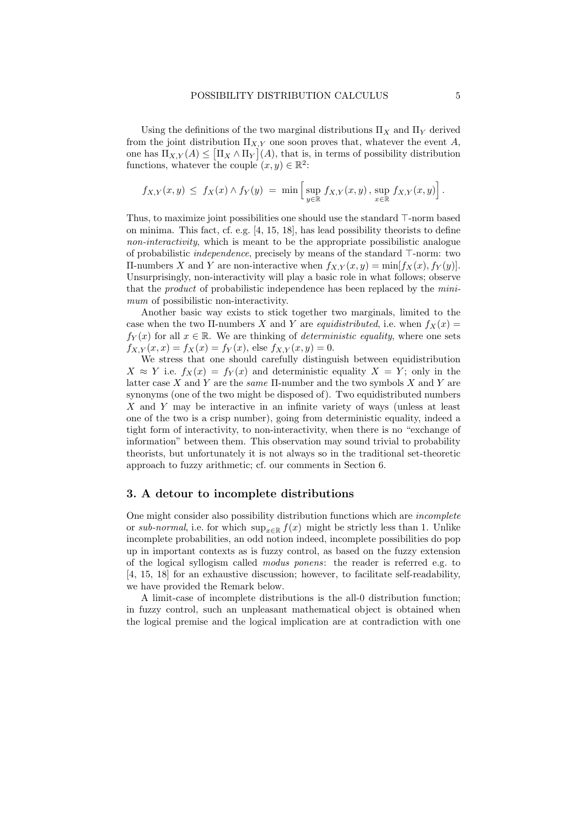Using the definitions of the two marginal distributions  $\Pi_X$  and  $\Pi_Y$  derived from the joint distribution  $\Pi_{X,Y}$  one soon proves that, whatever the event A, one has  $\Pi_{X,Y}(A) \leq [\Pi_X \wedge \Pi_Y](A)$ , that is, in terms of possibility distribution functions, whatever the couple  $(x, y) \in \mathbb{R}^2$ :

$$
f_{X,Y}(x,y) \leq f_X(x) \wedge f_Y(y) = \min \left[ \sup_{y \in \mathbb{R}} f_{X,Y}(x,y), \sup_{x \in \mathbb{R}} f_{X,Y}(x,y) \right].
$$

Thus, to maximize joint possibilities one should use the standard ⊤-norm based on minima. This fact, cf. e.g. [4, 15, 18], has lead possibility theorists to define non-interactivity, which is meant to be the appropriate possibilistic analogue of probabilistic independence, precisely by means of the standard ⊤-norm: two Π-numbers X and Y are non-interactive when  $f_{X,Y}(x, y) = \min[f_X(x), f_Y(y)].$ Unsurprisingly, non-interactivity will play a basic role in what follows; observe that the product of probabilistic independence has been replaced by the minimum of possibilistic non-interactivity.

Another basic way exists to stick together two marginals, limited to the case when the two II-numbers X and Y are *equidistributed*, i.e. when  $f_X(x) =$  $f_Y(x)$  for all  $x \in \mathbb{R}$ . We are thinking of *deterministic equality*, where one sets  $f_{X,Y}(x, x) = f_X(x) = f_Y(x)$ , else  $f_{X,Y}(x, y) = 0$ .

We stress that one should carefully distinguish between equidistribution  $X \approx Y$  i.e.  $f_X(x) = f_Y(x)$  and deterministic equality  $X = Y$ ; only in the latter case X and Y are the *same*  $\Pi$ -number and the two symbols X and Y are synonyms (one of the two might be disposed of). Two equidistributed numbers X and Y may be interactive in an infinite variety of ways (unless at least one of the two is a crisp number), going from deterministic equality, indeed a tight form of interactivity, to non-interactivity, when there is no "exchange of information" between them. This observation may sound trivial to probability theorists, but unfortunately it is not always so in the traditional set-theoretic approach to fuzzy arithmetic; cf. our comments in Section 6.

## 3. A detour to incomplete distributions

One might consider also possibility distribution functions which are incomplete or sub-normal, i.e. for which  $\sup_{x\in\mathbb{R}} f(x)$  might be strictly less than 1. Unlike incomplete probabilities, an odd notion indeed, incomplete possibilities do pop up in important contexts as is fuzzy control, as based on the fuzzy extension of the logical syllogism called modus ponens: the reader is referred e.g. to [4, 15, 18] for an exhaustive discussion; however, to facilitate self-readability, we have provided the Remark below.

A limit-case of incomplete distributions is the all-0 distribution function; in fuzzy control, such an unpleasant mathematical object is obtained when the logical premise and the logical implication are at contradiction with one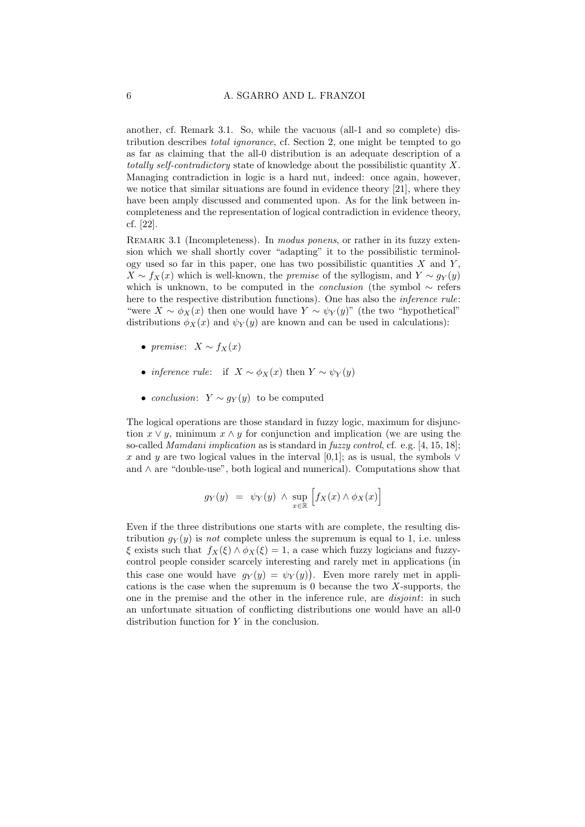another, cf. Remark 3.1. So, while the vacuous (all-1 and so complete) distribution describes total ignorance, cf. Section 2, one might be tempted to go as far as claiming that the all-0 distribution is an adequate description of a totally self-contradictory state of knowledge about the possibilistic quantity  $X$ . Managing contradiction in logic is a hard nut, indeed: once again, however, we notice that similar situations are found in evidence theory [21], where they have been amply discussed and commented upon. As for the link between incompleteness and the representation of logical contradiction in evidence theory, cf. [22].

REMARK 3.1 (Incompleteness). In modus ponens, or rather in its fuzzy extension which we shall shortly cover "adapting" it to the possibilistic terminology used so far in this paper, one has two possibilistic quantities  $X$  and  $Y$ .  $X \sim f_X(x)$  which is well-known, the *premise* of the syllogism, and  $Y \sim q_Y(y)$ which is unknown, to be computed in the *conclusion* (the symbol  $\sim$  refers here to the respective distribution functions). One has also the inference rule: "were  $X \sim \phi_X(x)$  then one would have  $Y \sim \psi_Y(y)$ " (the two "hypothetical" distributions  $\phi_X(x)$  and  $\psi_Y(y)$  are known and can be used in calculations):

- premise:  $X \sim f_X(x)$
- *inference rule:* if  $X \sim \phi_X(x)$  then  $Y \sim \psi_Y(y)$
- conclusion:  $Y \sim g_Y(y)$  to be computed

The logical operations are those standard in fuzzy logic, maximum for disjunction  $x \vee y$ , minimum  $x \wedge y$  for conjunction and implication (we are using the so-called Mamdani implication as is standard in fuzzy control, cf. e.g. [4, 15, 18]; x and y are two logical values in the interval [0,1]; as is usual, the symbols  $\vee$ and ∧ are "double-use", both logical and numerical). Computations show that

$$
g_Y(y) = \psi_Y(y) \wedge \sup_{x \in \mathbb{R}} \left[ f_X(x) \wedge \phi_X(x) \right]
$$

Even if the three distributions one starts with are complete, the resulting distribution  $g_Y(y)$  is not complete unless the supremum is equal to 1, i.e. unless  $\xi$  exists such that  $f_X(\xi) \wedge \phi_X(\xi) = 1$ , a case which fuzzy logicians and fuzzycontrol people consider scarcely interesting and rarely met in applications (in this case one would have  $g_Y(y) = \psi_Y(y)$ . Even more rarely met in applications is the case when the supremum is 0 because the two X-supports, the one in the premise and the other in the inference rule, are disjoint: in such an unfortunate situation of conflicting distributions one would have an all-0 distribution function for Y in the conclusion.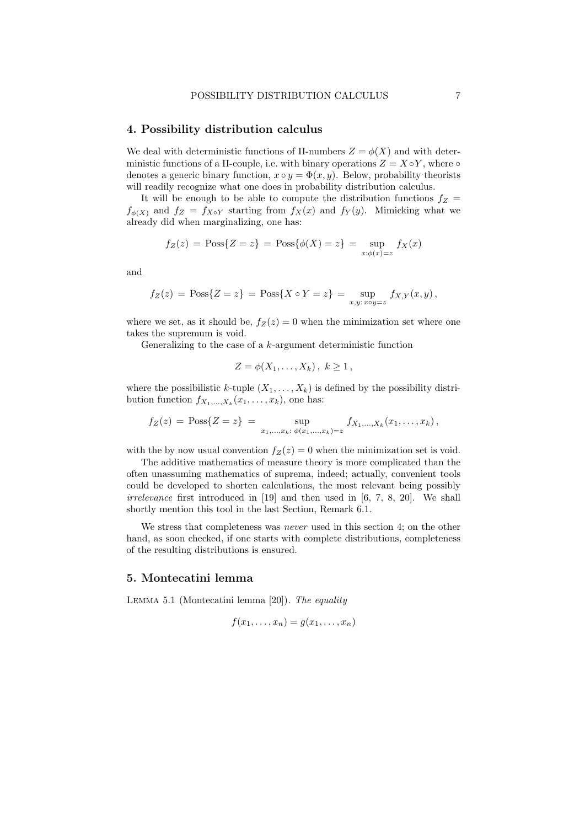#### 4. Possibility distribution calculus

We deal with deterministic functions of  $\Pi$ -numbers  $Z = \phi(X)$  and with deterministic functions of a  $\Pi$ -couple, i.e. with binary operations  $Z = X \circ Y$ , where  $\circ$ denotes a generic binary function,  $x \circ y = \Phi(x, y)$ . Below, probability theorists will readily recognize what one does in probability distribution calculus.

It will be enough to be able to compute the distribution functions  $f_Z =$  $f_{\phi(X)}$  and  $f_Z = f_{X \circ Y}$  starting from  $f_X(x)$  and  $f_Y(y)$ . Mimicking what we already did when marginalizing, one has:

$$
f_Z(z) = \text{Poss}\{Z = z\} = \text{Poss}\{\phi(X) = z\} = \sup_{x:\phi(x)=z} f_X(x)
$$

and

$$
f_Z(z) = \text{Poss}\{Z = z\} = \text{Poss}\{X \circ Y = z\} = \sup_{x,y: x \circ y = z} f_{X,Y}(x, y),
$$

where we set, as it should be,  $f_Z(z) = 0$  when the minimization set where one takes the supremum is void.

Generalizing to the case of a  $k$ -argument deterministic function

$$
Z = \phi(X_1, \ldots, X_k), \ k \ge 1,
$$

where the possibilistic k-tuple  $(X_1, \ldots, X_k)$  is defined by the possibility distribution function  $f_{X_1,...,X_k}(x_1,...,x_k)$ , one has:

$$
f_Z(z) = \text{Poss}\{Z = z\} = \sup_{x_1, \dots, x_k: \phi(x_1, \dots, x_k) = z} f_{X_1, \dots, X_k}(x_1, \dots, x_k),
$$

with the by now usual convention  $f_Z(z) = 0$  when the minimization set is void.

The additive mathematics of measure theory is more complicated than the often unassuming mathematics of suprema, indeed; actually, convenient tools could be developed to shorten calculations, the most relevant being possibly irrelevance first introduced in [19] and then used in [6, 7, 8, 20]. We shall shortly mention this tool in the last Section, Remark 6.1.

We stress that completeness was *never* used in this section 4; on the other hand, as soon checked, if one starts with complete distributions, completeness of the resulting distributions is ensured.

### 5. Montecatini lemma

Lemma 5.1 (Montecatini lemma [20]). The equality

$$
f(x_1,\ldots,x_n)=g(x_1,\ldots,x_n)
$$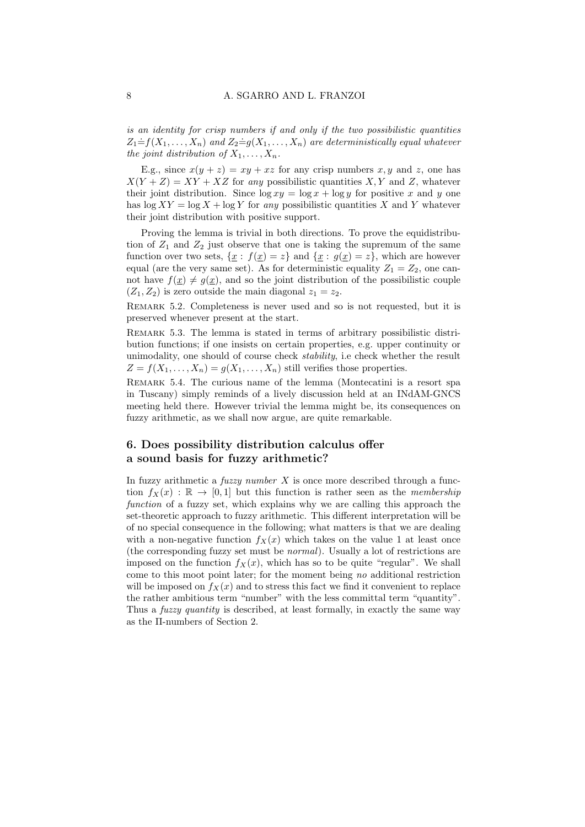is an identity for crisp numbers if and only if the two possibilistic quantities  $Z_1 \dot{=} f(X_1, \ldots, X_n)$  and  $Z_2 \dot{=} g(X_1, \ldots, X_n)$  are deterministically equal whatever the joint distribution of  $X_1, \ldots, X_n$ .

E.g., since  $x(y + z) = xy + xz$  for any crisp numbers x, y and z, one has  $X(Y + Z) = XY + XZ$  for any possibilistic quantities X, Y and Z, whatever their joint distribution. Since  $\log xy = \log x + \log y$  for positive x and y one has  $\log XY = \log X + \log Y$  for any possibilistic quantities X and Y whatever their joint distribution with positive support.

Proving the lemma is trivial in both directions. To prove the equidistribution of  $Z_1$  and  $Z_2$  just observe that one is taking the supremum of the same function over two sets,  $\{x : f(x) = z\}$  and  $\{x : g(x) = z\}$ , which are however equal (are the very same set). As for deterministic equality  $Z_1 = Z_2$ , one cannot have  $f(\underline{x}) \neq g(\underline{x})$ , and so the joint distribution of the possibilistic couple  $(Z_1, Z_2)$  is zero outside the main diagonal  $z_1 = z_2$ .

Remark 5.2. Completeness is never used and so is not requested, but it is preserved whenever present at the start.

Remark 5.3. The lemma is stated in terms of arbitrary possibilistic distribution functions; if one insists on certain properties, e.g. upper continuity or unimodality, one should of course check stability, i.e check whether the result  $Z = f(X_1, \ldots, X_n) = g(X_1, \ldots, X_n)$  still verifies those properties.

Remark 5.4. The curious name of the lemma (Montecatini is a resort spa in Tuscany) simply reminds of a lively discussion held at an INdAM-GNCS meeting held there. However trivial the lemma might be, its consequences on fuzzy arithmetic, as we shall now argue, are quite remarkable.

# 6. Does possibility distribution calculus offer a sound basis for fuzzy arithmetic?

In fuzzy arithmetic a *fuzzy number*  $X$  is once more described through a function  $f_X(x) : \mathbb{R} \to [0,1]$  but this function is rather seen as the *membership* function of a fuzzy set, which explains why we are calling this approach the set-theoretic approach to fuzzy arithmetic. This different interpretation will be of no special consequence in the following; what matters is that we are dealing with a non-negative function  $f_X(x)$  which takes on the value 1 at least once (the corresponding fuzzy set must be normal). Usually a lot of restrictions are imposed on the function  $f_X(x)$ , which has so to be quite "regular". We shall come to this moot point later; for the moment being no additional restriction will be imposed on  $f_X(x)$  and to stress this fact we find it convenient to replace the rather ambitious term "number" with the less committal term "quantity". Thus a *fuzzy quantity* is described, at least formally, in exactly the same way as the Π-numbers of Section 2.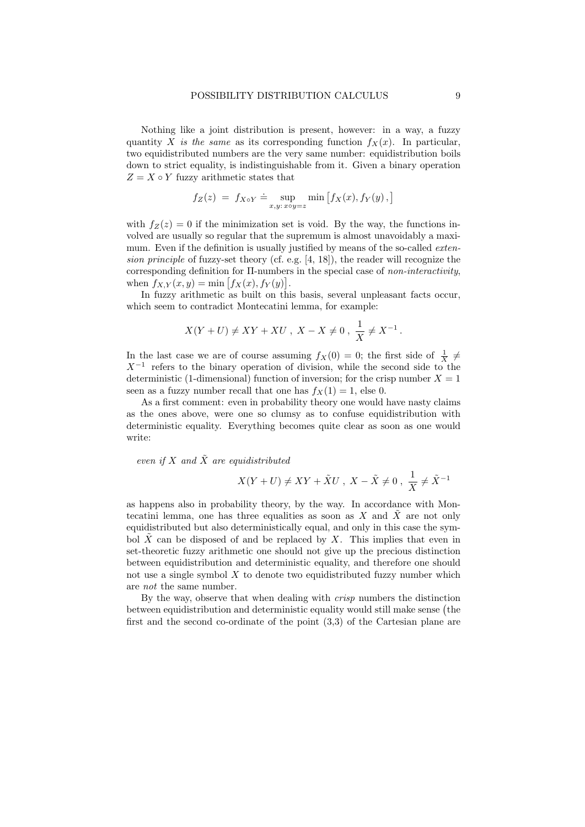Nothing like a joint distribution is present, however: in a way, a fuzzy quantity X is the same as its corresponding function  $f_X(x)$ . In particular, two equidistributed numbers are the very same number: equidistribution boils down to strict equality, is indistinguishable from it. Given a binary operation  $Z = X \circ Y$  fuzzy arithmetic states that

$$
f_Z(z) = f_{X \circ Y} \doteq \sup_{x,y: x \circ y = z} \min \left[ f_X(x), f_Y(y), \right]
$$

with  $f_Z(z) = 0$  if the minimization set is void. By the way, the functions involved are usually so regular that the supremum is almost unavoidably a maximum. Even if the definition is usually justified by means of the so-called *exten*sion principle of fuzzy-set theory (cf. e.g. [4, 18]), the reader will recognize the corresponding definition for Π-numbers in the special case of non-interactivity, when  $f_{X,Y}(x, y) = \min [f_X(x), f_Y(y)].$ 

In fuzzy arithmetic as built on this basis, several unpleasant facts occur, which seem to contradict Montecatini lemma, for example:

$$
X(Y + U) \neq XY + XU
$$
,  $X - X \neq 0$ ,  $\frac{1}{X} \neq X^{-1}$ .

In the last case we are of course assuming  $f_X(0) = 0$ ; the first side of  $\frac{1}{X} \neq$  $X^{-1}$  refers to the binary operation of division, while the second side to the deterministic (1-dimensional) function of inversion; for the crisp number  $X = 1$ seen as a fuzzy number recall that one has  $f_X(1) = 1$ , else 0.

As a first comment: even in probability theory one would have nasty claims as the ones above, were one so clumsy as to confuse equidistribution with deterministic equality. Everything becomes quite clear as soon as one would write:

even if X and  $\tilde{X}$  are equidistributed

$$
X(Y+U) \neq XY + \tilde{X}U \ , \ X-\tilde{X} \neq 0 \ , \ \frac{1}{X} \neq \tilde{X}^{-1}
$$

as happens also in probability theory, by the way. In accordance with Montecatini lemma, one has three equalities as soon as X and  $\tilde{X}$  are not only equidistributed but also deterministically equal, and only in this case the symbol  $X$  can be disposed of and be replaced by  $X$ . This implies that even in set-theoretic fuzzy arithmetic one should not give up the precious distinction between equidistribution and deterministic equality, and therefore one should not use a single symbol  $X$  to denote two equidistributed fuzzy number which are not the same number.

By the way, observe that when dealing with crisp numbers the distinction between equidistribution and deterministic equality would still make sense (the first and the second co-ordinate of the point (3,3) of the Cartesian plane are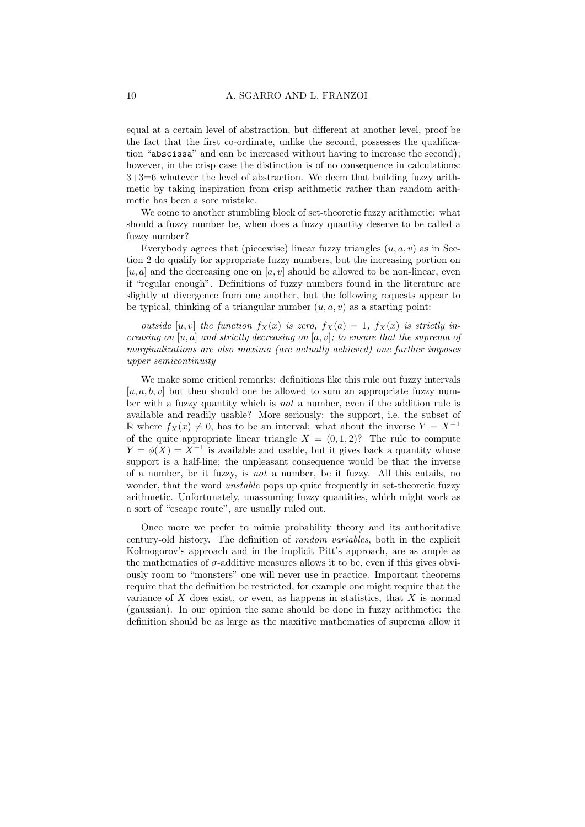equal at a certain level of abstraction, but different at another level, proof be the fact that the first co-ordinate, unlike the second, possesses the qualification "abscissa" and can be increased without having to increase the second); however, in the crisp case the distinction is of no consequence in calculations: 3+3=6 whatever the level of abstraction. We deem that building fuzzy arithmetic by taking inspiration from crisp arithmetic rather than random arithmetic has been a sore mistake.

We come to another stumbling block of set-theoretic fuzzy arithmetic: what should a fuzzy number be, when does a fuzzy quantity deserve to be called a fuzzy number?

Everybody agrees that (piecewise) linear fuzzy triangles  $(u, a, v)$  as in Section 2 do qualify for appropriate fuzzy numbers, but the increasing portion on  $[u, a]$  and the decreasing one on  $[a, v]$  should be allowed to be non-linear, even if "regular enough". Definitions of fuzzy numbers found in the literature are slightly at divergence from one another, but the following requests appear to be typical, thinking of a triangular number  $(u, a, v)$  as a starting point:

outside [u, v] the function  $f_X(x)$  is zero,  $f_X(a) = 1$ ,  $f_X(x)$  is strictly increasing on  $[u, a]$  and strictly decreasing on  $[a, v]$ ; to ensure that the suprema of marginalizations are also maxima (are actually achieved) one further imposes upper semicontinuity

We make some critical remarks: definitions like this rule out fuzzy intervals  $[u, a, b, v]$  but then should one be allowed to sum an appropriate fuzzy number with a fuzzy quantity which is not a number, even if the addition rule is available and readily usable? More seriously: the support, i.e. the subset of R where  $f_X(x) \neq 0$ , has to be an interval: what about the inverse  $Y = X^{-1}$ of the quite appropriate linear triangle  $X = (0, 1, 2)$ ? The rule to compute  $Y = \phi(X) = X^{-1}$  is available and usable, but it gives back a quantity whose support is a half-line; the unpleasant consequence would be that the inverse of a number, be it fuzzy, is not a number, be it fuzzy. All this entails, no wonder, that the word *unstable* pops up quite frequently in set-theoretic fuzzy arithmetic. Unfortunately, unassuming fuzzy quantities, which might work as a sort of "escape route", are usually ruled out.

Once more we prefer to mimic probability theory and its authoritative century-old history. The definition of random variables, both in the explicit Kolmogorov's approach and in the implicit Pitt's approach, are as ample as the mathematics of  $\sigma$ -additive measures allows it to be, even if this gives obviously room to "monsters" one will never use in practice. Important theorems require that the definition be restricted, for example one might require that the variance of  $X$  does exist, or even, as happens in statistics, that  $X$  is normal (gaussian). In our opinion the same should be done in fuzzy arithmetic: the definition should be as large as the maxitive mathematics of suprema allow it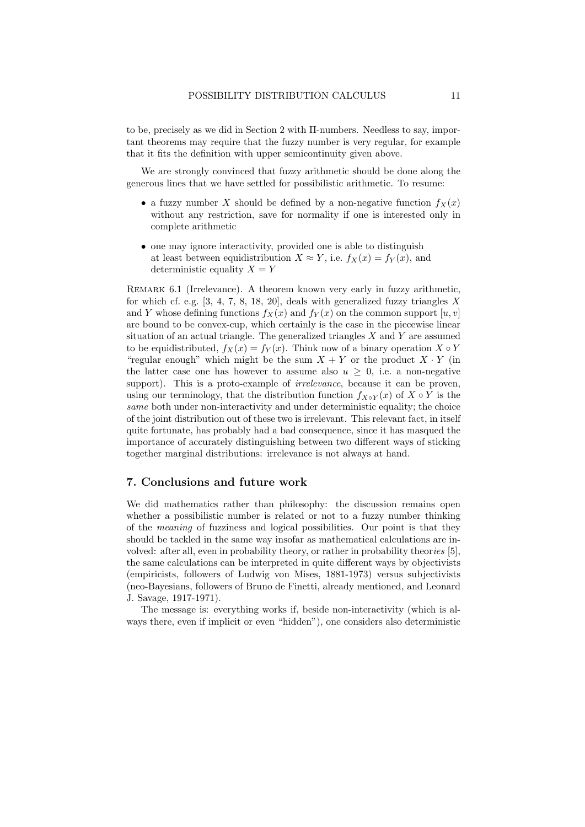to be, precisely as we did in Section 2 with Π-numbers. Needless to say, important theorems may require that the fuzzy number is very regular, for example that it fits the definition with upper semicontinuity given above.

We are strongly convinced that fuzzy arithmetic should be done along the generous lines that we have settled for possibilistic arithmetic. To resume:

- a fuzzy number X should be defined by a non-negative function  $f_X(x)$ without any restriction, save for normality if one is interested only in complete arithmetic
- one may ignore interactivity, provided one is able to distinguish at least between equidistribution  $X \approx Y$ , i.e.  $f_X(x) = f_Y(x)$ , and deterministic equality  $X = Y$

Remark 6.1 (Irrelevance). A theorem known very early in fuzzy arithmetic, for which cf. e.g.  $[3, 4, 7, 8, 18, 20]$ , deals with generalized fuzzy triangles X and Y whose defining functions  $f_X(x)$  and  $f_Y(x)$  on the common support  $[u, v]$ are bound to be convex-cup, which certainly is the case in the piecewise linear situation of an actual triangle. The generalized triangles  $X$  and  $Y$  are assumed to be equidistributed,  $f_X(x) = f_Y(x)$ . Think now of a binary operation  $X \circ Y$ "regular enough" which might be the sum  $X + Y$  or the product  $X \cdot Y$  (in the latter case one has however to assume also  $u > 0$ , i.e. a non-negative support). This is a proto-example of *irrelevance*, because it can be proven, using our terminology, that the distribution function  $f_{X\circ Y}(x)$  of  $X \circ Y$  is the same both under non-interactivity and under deterministic equality; the choice of the joint distribution out of these two is irrelevant. This relevant fact, in itself quite fortunate, has probably had a bad consequence, since it has masqued the importance of accurately distinguishing between two different ways of sticking together marginal distributions: irrelevance is not always at hand.

### 7. Conclusions and future work

We did mathematics rather than philosophy: the discussion remains open whether a possibilistic number is related or not to a fuzzy number thinking of the meaning of fuzziness and logical possibilities. Our point is that they should be tackled in the same way insofar as mathematical calculations are involved: after all, even in probability theory, or rather in probability theories [5], the same calculations can be interpreted in quite different ways by objectivists (empiricists, followers of Ludwig von Mises, 1881-1973) versus subjectivists (neo-Bayesians, followers of Bruno de Finetti, already mentioned, and Leonard J. Savage, 1917-1971).

The message is: everything works if, beside non-interactivity (which is always there, even if implicit or even "hidden"), one considers also deterministic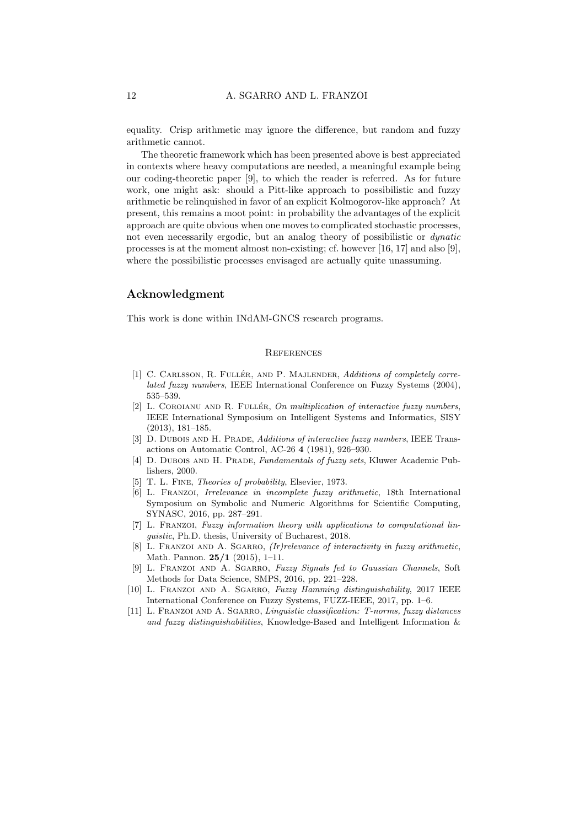equality. Crisp arithmetic may ignore the difference, but random and fuzzy arithmetic cannot.

The theoretic framework which has been presented above is best appreciated in contexts where heavy computations are needed, a meaningful example being our coding-theoretic paper [9], to which the reader is referred. As for future work, one might ask: should a Pitt-like approach to possibilistic and fuzzy arithmetic be relinquished in favor of an explicit Kolmogorov-like approach? At present, this remains a moot point: in probability the advantages of the explicit approach are quite obvious when one moves to complicated stochastic processes, not even necessarily ergodic, but an analog theory of possibilistic or dynatic processes is at the moment almost non-existing; cf. however [16, 17] and also [9], where the possibilistic processes envisaged are actually quite unassuming.

## Acknowledgment

This work is done within INdAM-GNCS research programs.

#### **REFERENCES**

- [1] C. CARLSSON, R. FULLÉR, AND P. MAJLENDER, Additions of completely correlated fuzzy numbers, IEEE International Conference on Fuzzy Systems (2004), 535–539.
- [2] L. COROIANU AND R. FULLÉR, On multiplication of interactive fuzzy numbers, IEEE International Symposium on Intelligent Systems and Informatics, SISY (2013), 181–185.
- [3] D. DUBOIS AND H. PRADE, Additions of interactive fuzzy numbers, IEEE Transactions on Automatic Control, AC-26 4 (1981), 926–930.
- [4] D. DUBOIS AND H. PRADE, Fundamentals of fuzzy sets, Kluwer Academic Publishers, 2000.
- [5] T. L. FINE, *Theories of probability*, Elsevier, 1973.
- [6] L. Franzoi, Irrelevance in incomplete fuzzy arithmetic, 18th International Symposium on Symbolic and Numeric Algorithms for Scientific Computing, SYNASC, 2016, pp. 287–291.
- [7] L. Franzoi, Fuzzy information theory with applications to computational linguistic, Ph.D. thesis, University of Bucharest, 2018.
- [8] L. FRANZOI AND A. SGARRO,  $(Ir)$ relevance of interactivity in fuzzy arithmetic, Math. Pannon. 25/1 (2015), 1–11.
- [9] L. FRANZOI AND A. SGARRO, Fuzzy Signals fed to Gaussian Channels, Soft Methods for Data Science, SMPS, 2016, pp. 221–228.
- [10] L. Franzoi and A. Sgarro, Fuzzy Hamming distinguishability, 2017 IEEE International Conference on Fuzzy Systems, FUZZ-IEEE, 2017, pp. 1–6.
- [11] L. Franzoi and A. Sgarro, Linguistic classification: T-norms, fuzzy distances and fuzzy distinguishabilities, Knowledge-Based and Intelligent Information &